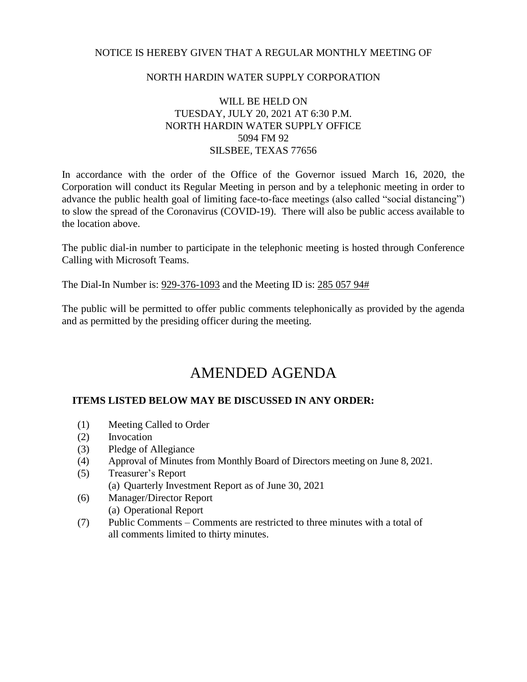## NOTICE IS HEREBY GIVEN THAT A REGULAR MONTHLY MEETING OF

## NORTH HARDIN WATER SUPPLY CORPORATION

## WILL BE HELD ON TUESDAY, JULY 20, 2021 AT 6:30 P.M. NORTH HARDIN WATER SUPPLY OFFICE 5094 FM 92 SILSBEE, TEXAS 77656

In accordance with the order of the Office of the Governor issued March 16, 2020, the Corporation will conduct its Regular Meeting in person and by a telephonic meeting in order to advance the public health goal of limiting face-to-face meetings (also called "social distancing") to slow the spread of the Coronavirus (COVID-19). There will also be public access available to the location above.

The public dial-in number to participate in the telephonic meeting is hosted through Conference Calling with Microsoft Teams.

The Dial-In Number is: 929-376-1093 and the Meeting ID is: 285 057 94#

The public will be permitted to offer public comments telephonically as provided by the agenda and as permitted by the presiding officer during the meeting.

# AMENDED AGENDA

## **ITEMS LISTED BELOW MAY BE DISCUSSED IN ANY ORDER:**

- (1) Meeting Called to Order
- (2) Invocation
- (3) Pledge of Allegiance
- (4) Approval of Minutes from Monthly Board of Directors meeting on June 8, 2021.
- (5) Treasurer's Report
	- (a) Quarterly Investment Report as of June 30, 2021
- (6) Manager/Director Report (a) Operational Report
- (7) Public Comments Comments are restricted to three minutes with a total of all comments limited to thirty minutes.